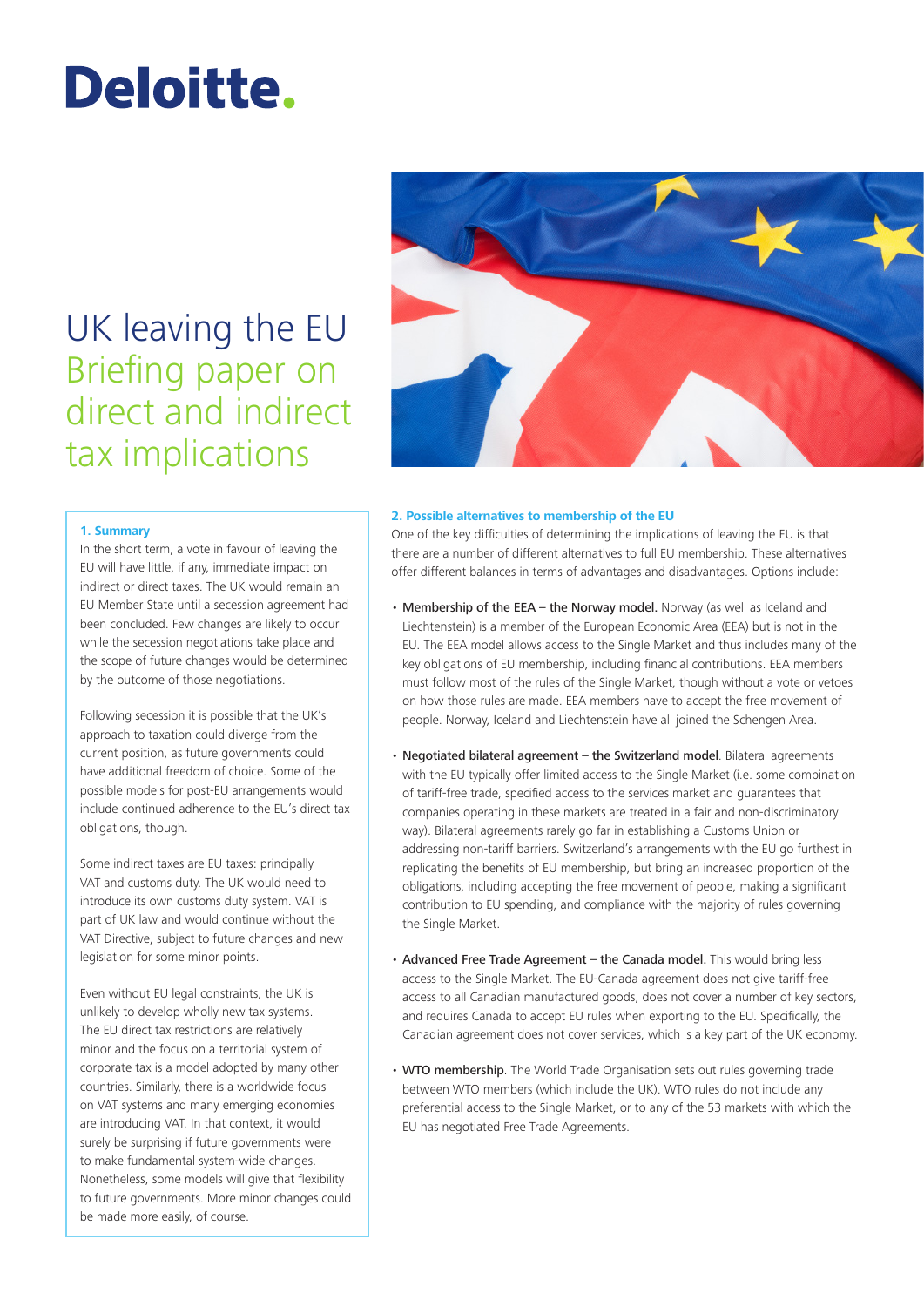# Deloitte.

# UK leaving the EU Briefing paper on direct and indirect tax implications

## **1. Summary**

In the short term, a vote in favour of leaving the EU will have little, if any, immediate impact on indirect or direct taxes. The UK would remain an EU Member State until a secession agreement had been concluded. Few changes are likely to occur while the secession negotiations take place and the scope of future changes would be determined by the outcome of those negotiations.

Following secession it is possible that the UK's approach to taxation could diverge from the current position, as future governments could have additional freedom of choice. Some of the possible models for post‑EU arrangements would include continued adherence to the EU's direct tax obligations, though.

Some indirect taxes are EU taxes: principally VAT and customs duty. The UK would need to introduce its own customs duty system. VAT is part of UK law and would continue without the VAT Directive, subject to future changes and new legislation for some minor points.

Even without EU legal constraints, the UK is unlikely to develop wholly new tax systems. The EU direct tax restrictions are relatively minor and the focus on a territorial system of corporate tax is a model adopted by many other countries. Similarly, there is a worldwide focus on VAT systems and many emerging economies are introducing VAT. In that context, it would surely be surprising if future governments were to make fundamental system‑wide changes. Nonetheless, some models will give that flexibility to future governments. More minor changes could be made more easily, of course.



#### **2. Possible alternatives to membership of the EU**

One of the key difficulties of determining the implications of leaving the EU is that there are a number of different alternatives to full EU membership. These alternatives offer different balances in terms of advantages and disadvantages. Options include:

- Membership of the EEA the Norway model. Norway (as well as Iceland and Liechtenstein) is a member of the European Economic Area (EEA) but is not in the EU. The EEA model allows access to the Single Market and thus includes many of the key obligations of EU membership, including financial contributions. EEA members must follow most of the rules of the Single Market, though without a vote or vetoes on how those rules are made. EEA members have to accept the free movement of people. Norway, Iceland and Liechtenstein have all joined the Schengen Area.
- Negotiated bilateral agreement the Switzerland model. Bilateral agreements with the EU typically offer limited access to the Single Market (i.e. some combination of tariff‑free trade, specified access to the services market and guarantees that companies operating in these markets are treated in a fair and non‑discriminatory way). Bilateral agreements rarely go far in establishing a Customs Union or addressing non-tariff barriers. Switzerland's arrangements with the EU go furthest in replicating the benefits of EU membership, but bring an increased proportion of the obligations, including accepting the free movement of people, making a significant contribution to EU spending, and compliance with the majority of rules governing the Single Market.
- Advanced Free Trade Agreement the Canada model. This would bring less access to the Single Market. The EU-Canada agreement does not give tariff-free access to all Canadian manufactured goods, does not cover a number of key sectors, and requires Canada to accept EU rules when exporting to the EU. Specifically, the Canadian agreement does not cover services, which is a key part of the UK economy.
- WTO membership. The World Trade Organisation sets out rules governing trade between WTO members (which include the UK). WTO rules do not include any preferential access to the Single Market, or to any of the 53 markets with which the EU has negotiated Free Trade Agreements.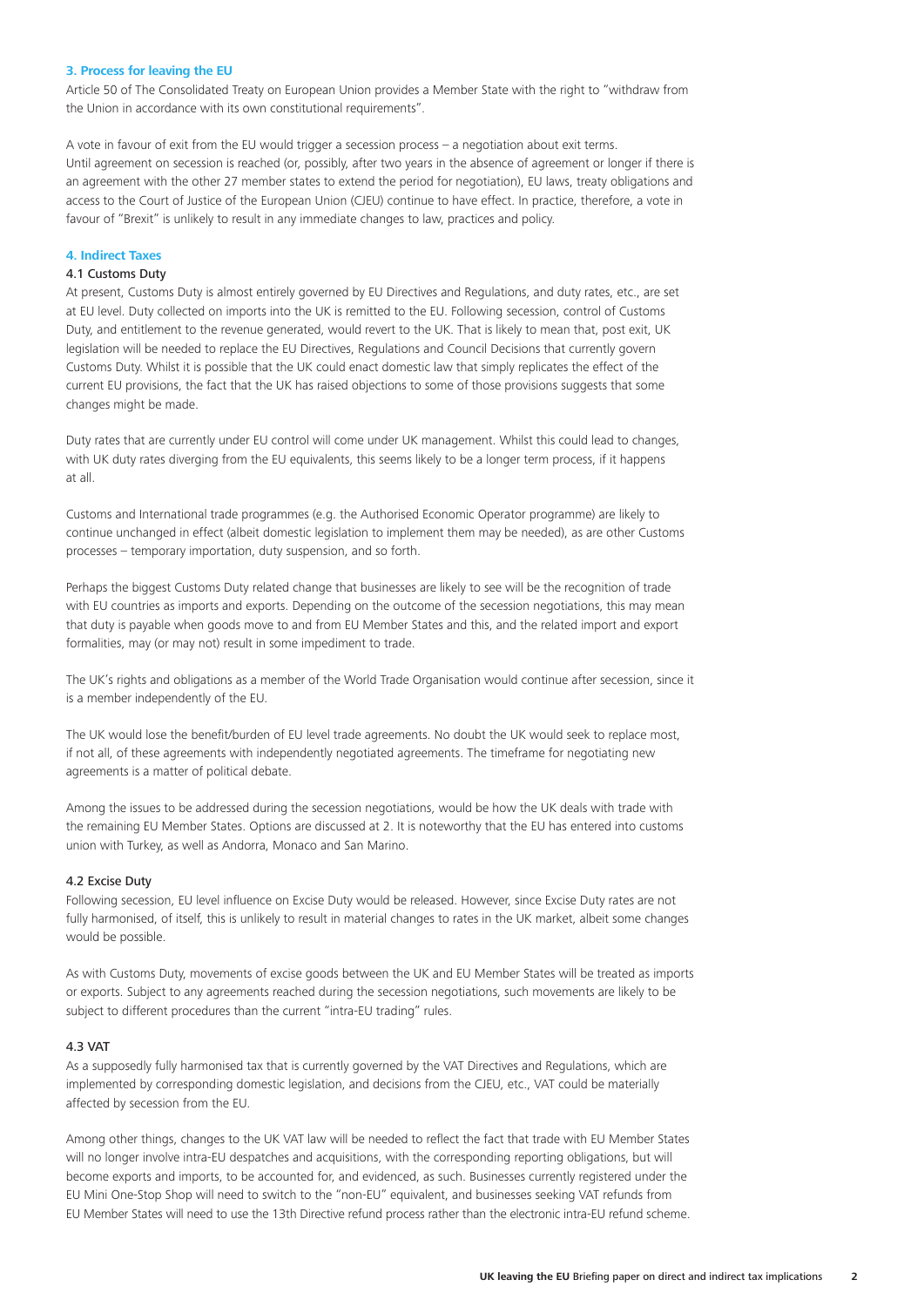#### **3. Process for leaving the EU**

Article 50 of The Consolidated Treaty on European Union provides a Member State with the right to "withdraw from the Union in accordance with its own constitutional requirements".

A vote in favour of exit from the EU would trigger a secession process – a negotiation about exit terms. Until agreement on secession is reached (or, possibly, after two years in the absence of agreement or longer if there is an agreement with the other 27 member states to extend the period for negotiation), EU laws, treaty obligations and access to the Court of Justice of the European Union (CJEU) continue to have effect. In practice, therefore, a vote in favour of "Brexit" is unlikely to result in any immediate changes to law, practices and policy.

#### **4. Indirect Taxes**

#### 4.1 Customs Duty

At present, Customs Duty is almost entirely governed by EU Directives and Regulations, and duty rates, etc., are set at EU level. Duty collected on imports into the UK is remitted to the EU. Following secession, control of Customs Duty, and entitlement to the revenue generated, would revert to the UK. That is likely to mean that, post exit, UK legislation will be needed to replace the EU Directives, Regulations and Council Decisions that currently govern Customs Duty. Whilst it is possible that the UK could enact domestic law that simply replicates the effect of the current EU provisions, the fact that the UK has raised objections to some of those provisions suggests that some changes might be made.

Duty rates that are currently under EU control will come under UK management. Whilst this could lead to changes, with UK duty rates diverging from the EU equivalents, this seems likely to be a longer term process, if it happens at all.

Customs and International trade programmes (e.g. the Authorised Economic Operator programme) are likely to continue unchanged in effect (albeit domestic legislation to implement them may be needed), as are other Customs processes – temporary importation, duty suspension, and so forth.

Perhaps the biggest Customs Duty related change that businesses are likely to see will be the recognition of trade with EU countries as imports and exports. Depending on the outcome of the secession negotiations, this may mean that duty is payable when goods move to and from EU Member States and this, and the related import and export formalities, may (or may not) result in some impediment to trade.

The UK's rights and obligations as a member of the World Trade Organisation would continue after secession, since it is a member independently of the EU.

The UK would lose the benefit/burden of EU level trade agreements. No doubt the UK would seek to replace most, if not all, of these agreements with independently negotiated agreements. The timeframe for negotiating new agreements is a matter of political debate.

Among the issues to be addressed during the secession negotiations, would be how the UK deals with trade with the remaining EU Member States. Options are discussed at 2. It is noteworthy that the EU has entered into customs union with Turkey, as well as Andorra, Monaco and San Marino.

#### 4.2 Excise Duty

Following secession, EU level influence on Excise Duty would be released. However, since Excise Duty rates are not fully harmonised, of itself, this is unlikely to result in material changes to rates in the UK market, albeit some changes would be possible.

As with Customs Duty, movements of excise goods between the UK and EU Member States will be treated as imports or exports. Subject to any agreements reached during the secession negotiations, such movements are likely to be subject to different procedures than the current "intra-EU trading" rules.

#### 4.3 VAT

As a supposedly fully harmonised tax that is currently governed by the VAT Directives and Regulations, which are implemented by corresponding domestic legislation, and decisions from the CJEU, etc., VAT could be materially affected by secession from the EU.

Among other things, changes to the UK VAT law will be needed to reflect the fact that trade with EU Member States will no longer involve intra-EU despatches and acquisitions, with the corresponding reporting obligations, but will become exports and imports, to be accounted for, and evidenced, as such. Businesses currently registered under the EU Mini One‑Stop Shop will need to switch to the "non‑EU" equivalent, and businesses seeking VAT refunds from EU Member States will need to use the 13th Directive refund process rather than the electronic intra‑EU refund scheme.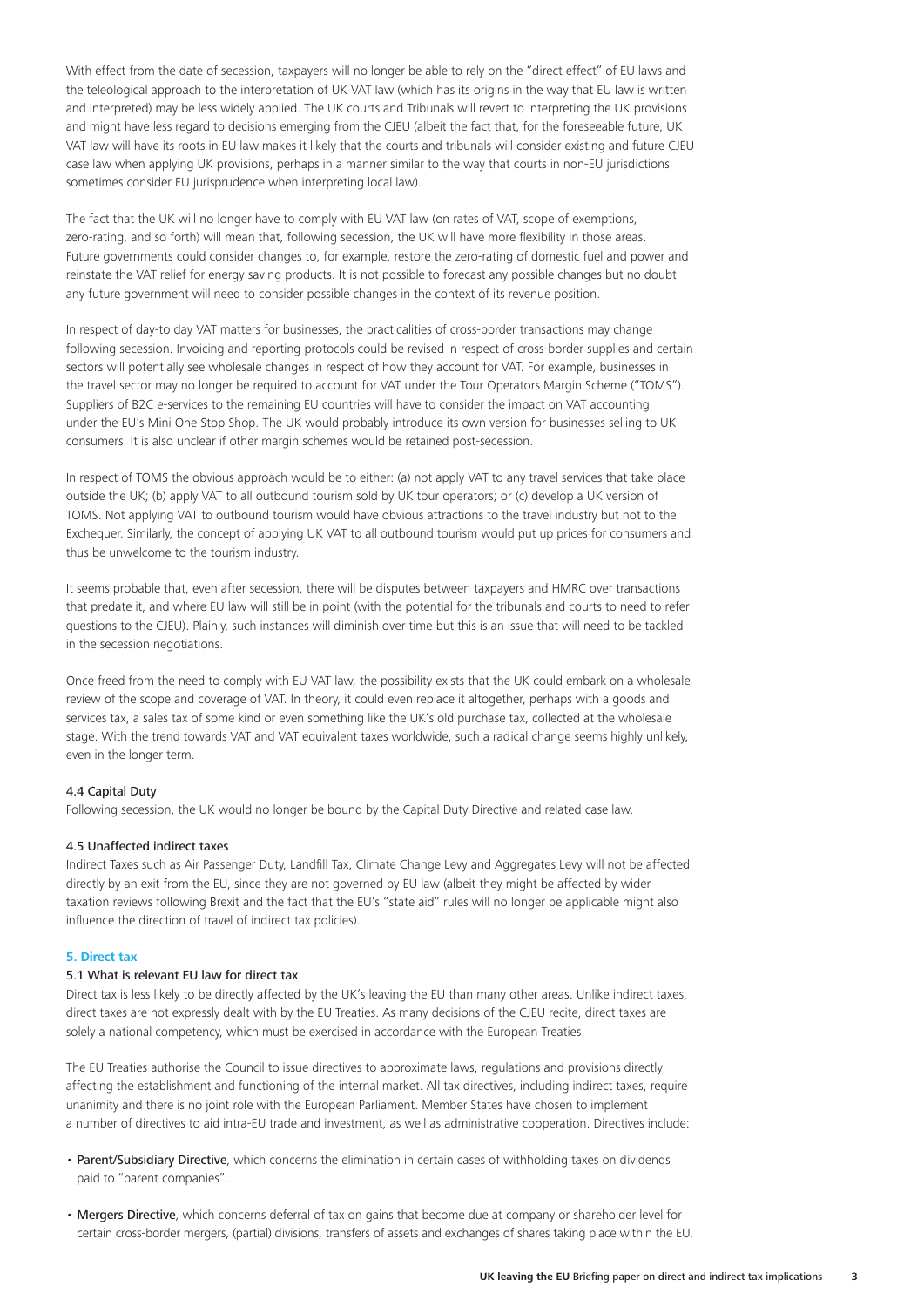With effect from the date of secession, taxpayers will no longer be able to rely on the "direct effect" of EU laws and the teleological approach to the interpretation of UK VAT law (which has its origins in the way that EU law is written and interpreted) may be less widely applied. The UK courts and Tribunals will revert to interpreting the UK provisions and might have less regard to decisions emerging from the CJEU (albeit the fact that, for the foreseeable future, UK VAT law will have its roots in EU law makes it likely that the courts and tribunals will consider existing and future CJEU case law when applying UK provisions, perhaps in a manner similar to the way that courts in non‑EU jurisdictions sometimes consider EU jurisprudence when interpreting local law).

The fact that the UK will no longer have to comply with EU VAT law (on rates of VAT, scope of exemptions, zero-rating, and so forth) will mean that, following secession, the UK will have more flexibility in those areas. Future governments could consider changes to, for example, restore the zero-rating of domestic fuel and power and reinstate the VAT relief for energy saving products. It is not possible to forecast any possible changes but no doubt any future government will need to consider possible changes in the context of its revenue position.

In respect of day-to day VAT matters for businesses, the practicalities of cross-border transactions may change following secession. Invoicing and reporting protocols could be revised in respect of cross-border supplies and certain sectors will potentially see wholesale changes in respect of how they account for VAT. For example, businesses in the travel sector may no longer be required to account for VAT under the Tour Operators Margin Scheme ("TOMS"). Suppliers of B2C e-services to the remaining EU countries will have to consider the impact on VAT accounting under the EU's Mini One Stop Shop. The UK would probably introduce its own version for businesses selling to UK consumers. It is also unclear if other margin schemes would be retained post-secession.

In respect of TOMS the obvious approach would be to either: (a) not apply VAT to any travel services that take place outside the UK; (b) apply VAT to all outbound tourism sold by UK tour operators; or (c) develop a UK version of TOMS. Not applying VAT to outbound tourism would have obvious attractions to the travel industry but not to the Exchequer. Similarly, the concept of applying UK VAT to all outbound tourism would put up prices for consumers and thus be unwelcome to the tourism industry.

It seems probable that, even after secession, there will be disputes between taxpayers and HMRC over transactions that predate it, and where EU law will still be in point (with the potential for the tribunals and courts to need to refer questions to the CJEU). Plainly, such instances will diminish over time but this is an issue that will need to be tackled in the secession negotiations.

Once freed from the need to comply with EU VAT law, the possibility exists that the UK could embark on a wholesale review of the scope and coverage of VAT. In theory, it could even replace it altogether, perhaps with a goods and services tax, a sales tax of some kind or even something like the UK's old purchase tax, collected at the wholesale stage. With the trend towards VAT and VAT equivalent taxes worldwide, such a radical change seems highly unlikely, even in the longer term.

### 4.4 Capital Duty

Following secession, the UK would no longer be bound by the Capital Duty Directive and related case law.

#### 4.5 Unaffected indirect taxes

Indirect Taxes such as Air Passenger Duty, Landfill Tax, Climate Change Levy and Aggregates Levy will not be affected directly by an exit from the EU, since they are not governed by EU law (albeit they might be affected by wider taxation reviews following Brexit and the fact that the EU's "state aid" rules will no longer be applicable might also influence the direction of travel of indirect tax policies).

#### **5. Direct tax**

#### 5.1 What is relevant EU law for direct tax

Direct tax is less likely to be directly affected by the UK's leaving the EU than many other areas. Unlike indirect taxes, direct taxes are not expressly dealt with by the EU Treaties. As many decisions of the CJEU recite, direct taxes are solely a national competency, which must be exercised in accordance with the European Treaties.

The EU Treaties authorise the Council to issue directives to approximate laws, regulations and provisions directly affecting the establishment and functioning of the internal market. All tax directives, including indirect taxes, require unanimity and there is no joint role with the European Parliament. Member States have chosen to implement a number of directives to aid intra-EU trade and investment, as well as administrative cooperation. Directives include:

- Parent/Subsidiary Directive, which concerns the elimination in certain cases of withholding taxes on dividends paid to "parent companies".
- Mergers Directive, which concerns deferral of tax on gains that become due at company or shareholder level for certain cross‑border mergers, (partial) divisions, transfers of assets and exchanges of shares taking place within the EU.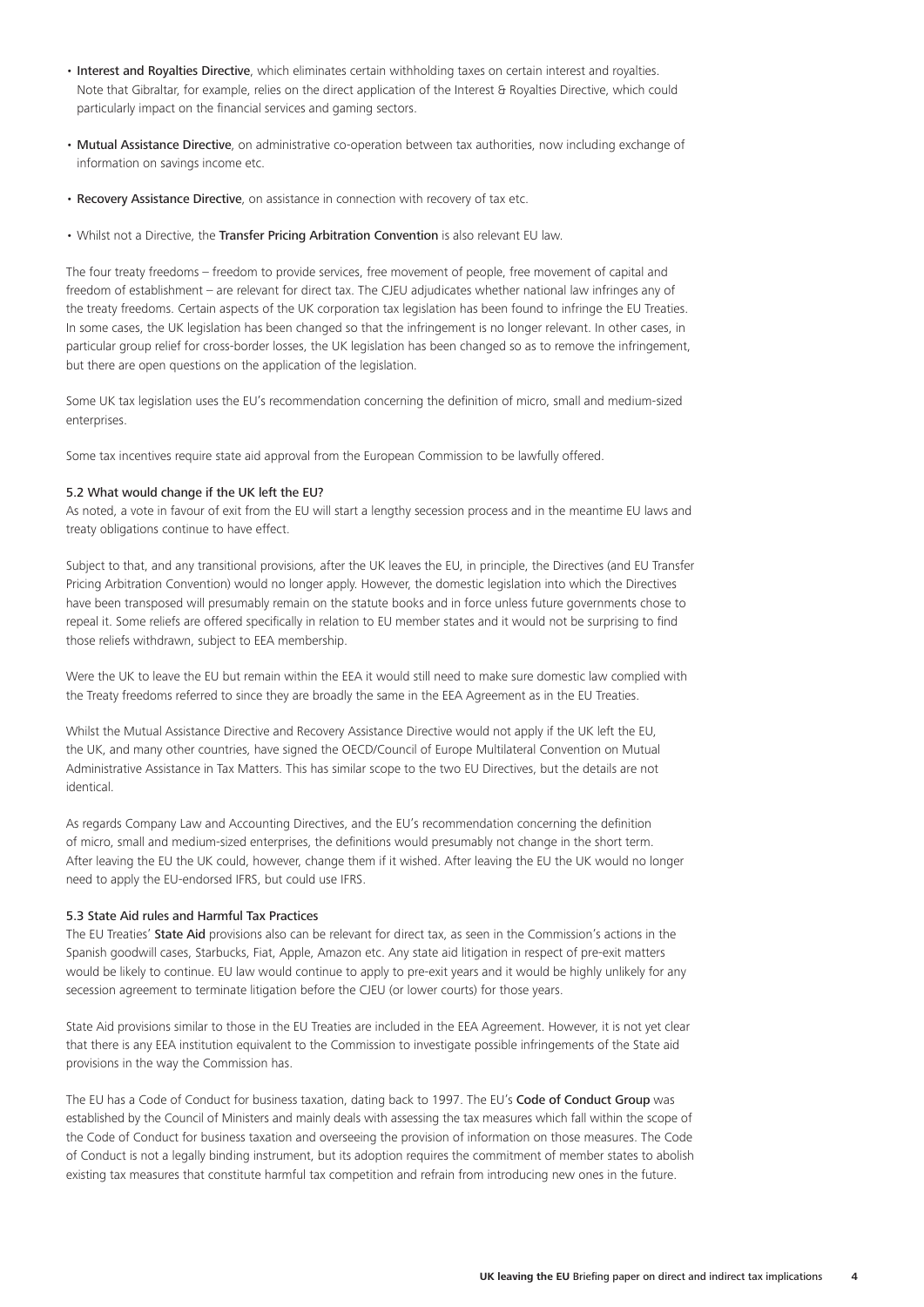- Interest and Royalties Directive, which eliminates certain withholding taxes on certain interest and royalties. Note that Gibraltar, for example, relies on the direct application of the Interest & Royalties Directive, which could particularly impact on the financial services and gaming sectors.
- Mutual Assistance Directive, on administrative co-operation between tax authorities, now including exchange of information on savings income etc.
- Recovery Assistance Directive, on assistance in connection with recovery of tax etc.
- Whilst not a Directive, the Transfer Pricing Arbitration Convention is also relevant EU law.

The four treaty freedoms – freedom to provide services, free movement of people, free movement of capital and freedom of establishment – are relevant for direct tax. The CJEU adjudicates whether national law infringes any of the treaty freedoms. Certain aspects of the UK corporation tax legislation has been found to infringe the EU Treaties. In some cases, the UK legislation has been changed so that the infringement is no longer relevant. In other cases, in particular group relief for cross-border losses, the UK legislation has been changed so as to remove the infringement, but there are open questions on the application of the legislation.

Some UK tax legislation uses the EU's recommendation concerning the definition of micro, small and medium‑sized enterprises.

Some tax incentives require state aid approval from the European Commission to be lawfully offered.

#### 5.2 What would change if the UK left the EU?

As noted, a vote in favour of exit from the EU will start a lengthy secession process and in the meantime EU laws and treaty obligations continue to have effect.

Subject to that, and any transitional provisions, after the UK leaves the EU, in principle, the Directives (and EU Transfer Pricing Arbitration Convention) would no longer apply. However, the domestic legislation into which the Directives have been transposed will presumably remain on the statute books and in force unless future governments chose to repeal it. Some reliefs are offered specifically in relation to EU member states and it would not be surprising to find those reliefs withdrawn, subject to EEA membership.

Were the UK to leave the EU but remain within the EEA it would still need to make sure domestic law complied with the Treaty freedoms referred to since they are broadly the same in the EEA Agreement as in the EU Treaties.

Whilst the Mutual Assistance Directive and Recovery Assistance Directive would not apply if the UK left the EU, the UK, and many other countries, have signed the OECD/Council of Europe Multilateral Convention on Mutual Administrative Assistance in Tax Matters. This has similar scope to the two EU Directives, but the details are not identical.

As regards Company Law and Accounting Directives, and the EU's recommendation concerning the definition of micro, small and medium‑sized enterprises, the definitions would presumably not change in the short term. After leaving the EU the UK could, however, change them if it wished. After leaving the EU the UK would no longer need to apply the EU‑endorsed IFRS, but could use IFRS.

#### 5.3 State Aid rules and Harmful Tax Practices

The EU Treaties' State Aid provisions also can be relevant for direct tax, as seen in the Commission's actions in the Spanish goodwill cases, Starbucks, Fiat, Apple, Amazon etc. Any state aid litigation in respect of pre‑exit matters would be likely to continue. EU law would continue to apply to pre-exit years and it would be highly unlikely for any secession agreement to terminate litigation before the CJEU (or lower courts) for those years.

State Aid provisions similar to those in the EU Treaties are included in the EEA Agreement. However, it is not yet clear that there is any EEA institution equivalent to the Commission to investigate possible infringements of the State aid provisions in the way the Commission has.

The EU has a Code of Conduct for business taxation, dating back to 1997. The EU's Code of Conduct Group was established by the Council of Ministers and mainly deals with assessing the tax measures which fall within the scope of the Code of Conduct for business taxation and overseeing the provision of information on those measures. The Code of Conduct is not a legally binding instrument, but its adoption requires the commitment of member states to abolish existing tax measures that constitute harmful tax competition and refrain from introducing new ones in the future.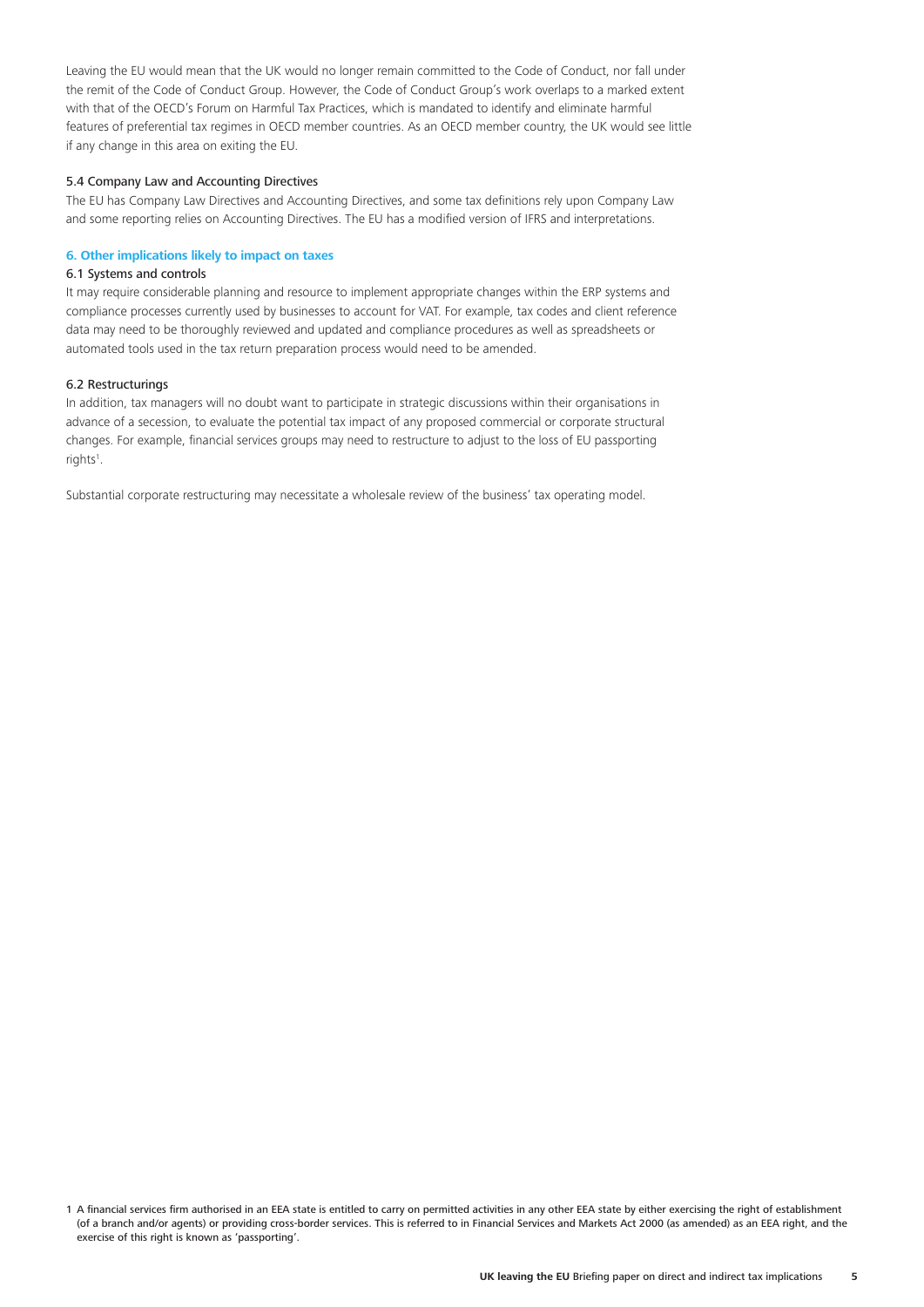Leaving the EU would mean that the UK would no longer remain committed to the Code of Conduct, nor fall under the remit of the Code of Conduct Group. However, the Code of Conduct Group's work overlaps to a marked extent with that of the OECD's Forum on Harmful Tax Practices, which is mandated to identify and eliminate harmful features of preferential tax regimes in OECD member countries. As an OECD member country, the UK would see little if any change in this area on exiting the EU.

#### 5.4 Company Law and Accounting Directives

The EU has Company Law Directives and Accounting Directives, and some tax definitions rely upon Company Law and some reporting relies on Accounting Directives. The EU has a modified version of IFRS and interpretations.

#### **6. Other implications likely to impact on taxes**

#### 6.1 Systems and controls

It may require considerable planning and resource to implement appropriate changes within the ERP systems and compliance processes currently used by businesses to account for VAT. For example, tax codes and client reference data may need to be thoroughly reviewed and updated and compliance procedures as well as spreadsheets or automated tools used in the tax return preparation process would need to be amended.

#### 6.2 Restructurings

In addition, tax managers will no doubt want to participate in strategic discussions within their organisations in advance of a secession, to evaluate the potential tax impact of any proposed commercial or corporate structural changes. For example, financial services groups may need to restructure to adjust to the loss of EU passporting rights<sup>1</sup>.

Substantial corporate restructuring may necessitate a wholesale review of the business' tax operating model.

<sup>1</sup> A financial services firm authorised in an EEA state is entitled to carry on permitted activities in any other EEA state by either exercising the right of establishment (of a branch and/or agents) or providing cross‑border services. This is referred to in Financial Services and Markets Act 2000 (as amended) as an EEA right, and the exercise of this right is known as 'passporting'.